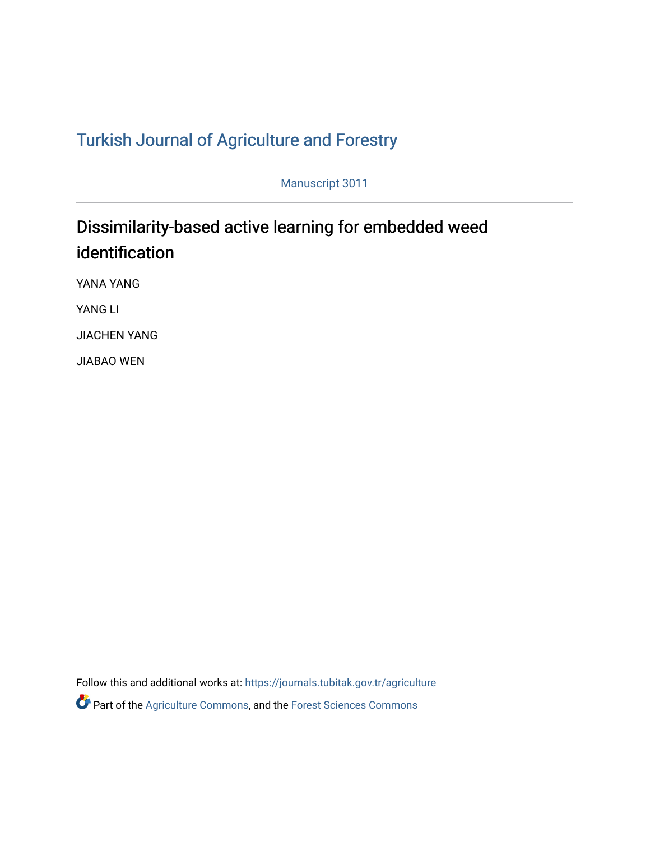## T[urkish Journal of Agriculture and F](https://journals.tubitak.gov.tr/agriculture)orestry

Manuscript 3011

# Dissimilarity-based active learning for embedded weed identification

YANA YANG

YANG LI

JIACHEN YANG

JIABAO WEN

Follow this and additional works at: [https://journals.tubitak.gov.tr/agriculture](https://journals.tubitak.gov.tr/agriculture?utm_source=journals.tubitak.gov.tr%2Fagriculture%2Fvol46%2Fiss3%2F11&utm_medium=PDF&utm_campaign=PDFCoverPages)

**P** Part of the [Agriculture Commons](https://network.bepress.com/hgg/discipline/1076?utm_source=journals.tubitak.gov.tr%2Fagriculture%2Fvol46%2Fiss3%2F11&utm_medium=PDF&utm_campaign=PDFCoverPages), and the Forest Sciences Commons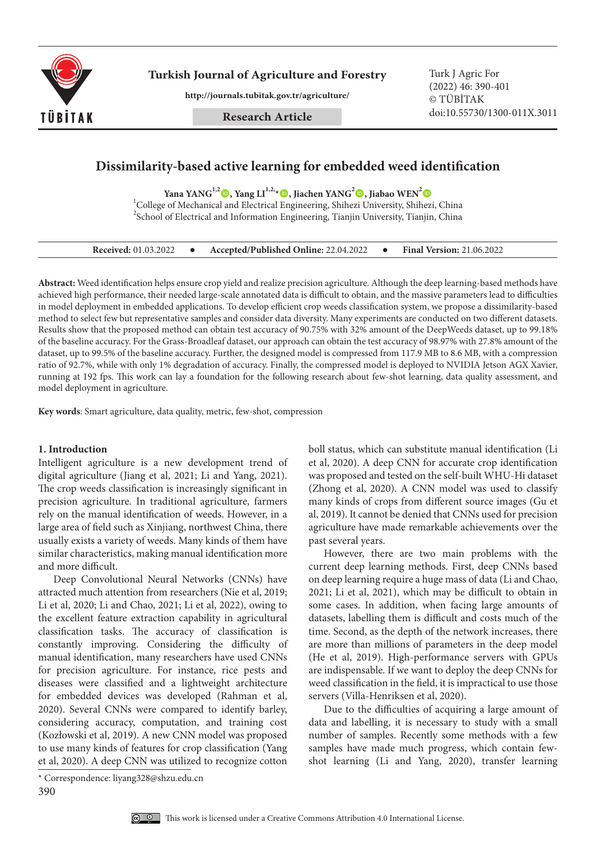

**Turkish Journal of Agriculture and Forestry Turk J Agric For** 

**http://journals.tubitak.gov.tr/agriculture/**

**Research Article**

(2022) 46: 390-401 © TÜBİTAK doi:10.55730/1300-011X.3011

## **Dissimilarity-based active learning for embedded weed identification**

Yana YANG<sup>1,2</sup> (0, Yang LI<sup>1,2,</sup>\* (0, Jiachen YANG<sup>2</sup> (0, Jiabao WEN<sup>2</sup> (0

<sup>1</sup>College of Mechanical and Electrical Engineering, Shihezi University, Shihezi, China  $^{2}$ School of Electrical and Information Engineering, Tianjin University, Tianjin, China

| <b>Received:</b> 01.03.2022 |  | Accepted/Published Online: 22.04.2022 |  | <b>Final Version: 21.06.2022</b> |
|-----------------------------|--|---------------------------------------|--|----------------------------------|
|-----------------------------|--|---------------------------------------|--|----------------------------------|

**Abstract:** Weed identification helps ensure crop yield and realize precision agriculture. Although the deep learning-based methods have achieved high performance, their needed large-scale annotated data is difficult to obtain, and the massive parameters lead to difficulties in model deployment in embedded applications. To develop efficient crop weeds classification system, we propose a dissimilarity-based method to select few but representative samples and consider data diversity. Many experiments are conducted on two different datasets. Results show that the proposed method can obtain test accuracy of 90.75% with 32% amount of the DeepWeeds dataset, up to 99.18% of the baseline accuracy. For the Grass-Broadleaf dataset, our approach can obtain the test accuracy of 98.97% with 27.8% amount of the dataset, up to 99.5% of the baseline accuracy. Further, the designed model is compressed from 117.9 MB to 8.6 MB, with a compression ratio of 92.7%, while with only 1% degradation of accuracy. Finally, the compressed model is deployed to NVIDIA Jetson AGX Xavier, running at 192 fps. This work can lay a foundation for the following research about few-shot learning, data quality assessment, and model deployment in agriculture.

**Key words**: Smart agriculture, data quality, metric, few-shot, compression

## **1. Introduction**

Intelligent agriculture is a new development trend of digital agriculture (Jiang et al, 2021; Li and Yang, 2021). The crop weeds classification is increasingly significant in precision agriculture. In traditional agriculture, farmers rely on the manual identification of weeds. However, in a large area of field such as Xinjiang, northwest China, there usually exists a variety of weeds. Many kinds of them have similar characteristics, making manual identification more and more difficult.

Deep Convolutional Neural Networks (CNNs) have attracted much attention from researchers (Nie et al, 2019; Li et al, 2020; Li and Chao, 2021; Li et al, 2022), owing to the excellent feature extraction capability in agricultural classification tasks. The accuracy of classification is constantly improving. Considering the difficulty of manual identification, many researchers have used CNNs for precision agriculture. For instance, rice pests and diseases were classified and a lightweight architecture for embedded devices was developed (Rahman et al, 2020). Several CNNs were compared to identify barley, considering accuracy, computation, and training cost (Kozłowski et al, 2019). A new CNN model was proposed to use many kinds of features for crop classification (Yang et al, 2020). A deep CNN was utilized to recognize cotton

boll status, which can substitute manual identification (Li et al, 2020). A deep CNN for accurate crop identification was proposed and tested on the self-built WHU-Hi dataset (Zhong et al, 2020). A CNN model was used to classify many kinds of crops from different source images (Gu et al, 2019). It cannot be denied that CNNs used for precision agriculture have made remarkable achievements over the past several years.

However, there are two main problems with the current deep learning methods. First, deep CNNs based on deep learning require a huge mass of data (Li and Chao, 2021; Li et al, 2021), which may be difficult to obtain in some cases. In addition, when facing large amounts of datasets, labelling them is difficult and costs much of the time. Second, as the depth of the network increases, there are more than millions of parameters in the deep model (He et al, 2019). High-performance servers with GPUs are indispensable. If we want to deploy the deep CNNs for weed classification in the field, it is impractical to use those servers (Villa-Henriksen et al, 2020).

Due to the difficulties of acquiring a large amount of data and labelling, it is necessary to study with a small number of samples. Recently some methods with a few samples have made much progress, which contain fewshot learning (Li and Yang, 2020), transfer learning

<sup>390</sup> \* Correspondence: liyang328@shzu.edu.cn

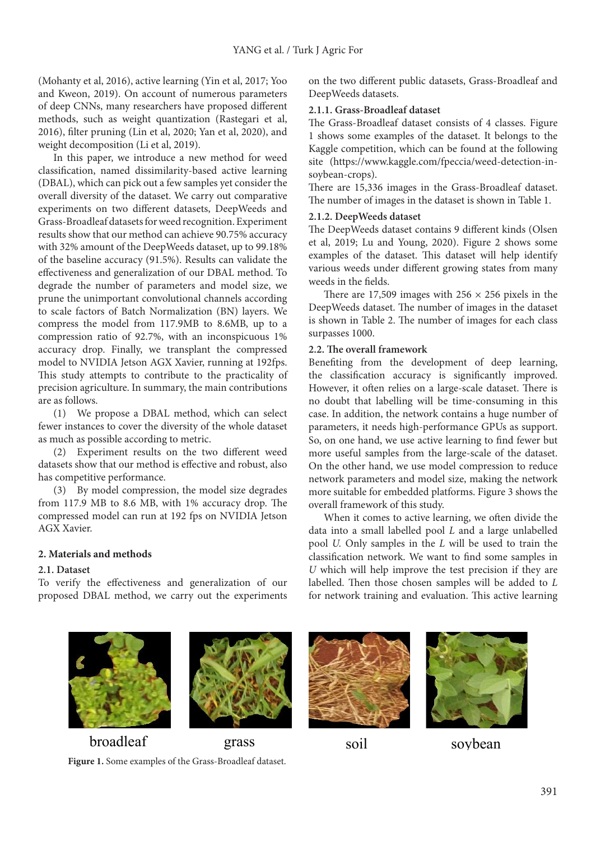(Mohanty et al, 2016), active learning (Yin et al, 2017; Yoo and Kweon, 2019). On account of numerous parameters of deep CNNs, many researchers have proposed different methods, such as weight quantization (Rastegari et al, 2016), filter pruning (Lin et al, 2020; Yan et al, 2020), and weight decomposition (Li et al, 2019).

In this paper, we introduce a new method for weed classification, named dissimilarity-based active learning (DBAL), which can pick out a few samples yet consider the overall diversity of the dataset. We carry out comparative experiments on two different datasets, DeepWeeds and Grass-Broadleaf datasets for weed recognition. Experiment results show that our method can achieve 90.75% accuracy with 32% amount of the DeepWeeds dataset, up to 99.18% of the baseline accuracy (91.5%). Results can validate the effectiveness and generalization of our DBAL method. To degrade the number of parameters and model size, we prune the unimportant convolutional channels according to scale factors of Batch Normalization (BN) layers. We compress the model from 117.9MB to 8.6MB, up to a compression ratio of 92.7%, with an inconspicuous 1% accuracy drop. Finally, we transplant the compressed model to NVIDIA Jetson AGX Xavier, running at 192fps. This study attempts to contribute to the practicality of precision agriculture. In summary, the main contributions are as follows.

(1) We propose a DBAL method, which can select fewer instances to cover the diversity of the whole dataset as much as possible according to metric.

(2) Experiment results on the two different weed datasets show that our method is effective and robust, also has competitive performance.

(3) By model compression, the model size degrades from 117.9 MB to 8.6 MB, with 1% accuracy drop. The compressed model can run at 192 fps on NVIDIA Jetson AGX Xavier.

## **2. Materials and methods**

## **2.1. Dataset**

To verify the effectiveness and generalization of our proposed DBAL method, we carry out the experiments

on the two different public datasets, Grass-Broadleaf and DeepWeeds datasets.

## **2.1.1. Grass-Broadleaf dataset**

The Grass-Broadleaf dataset consists of 4 classes. Figure 1 shows some examples of the dataset. It belongs to the Kaggle competition, which can be found at the following site (https://www.kaggle.com/fpeccia/weed-detection-insoybean-crops).

There are 15,336 images in the Grass-Broadleaf dataset. The number of images in the dataset is shown in Table 1.

## **2.1.2. DeepWeeds dataset**

The DeepWeeds dataset contains 9 different kinds (Olsen et al, 2019; Lu and Young, 2020). Figure 2 shows some examples of the dataset. This dataset will help identify various weeds under different growing states from many weeds in the fields.

There are 17,509 images with  $256 \times 256$  pixels in the DeepWeeds dataset. The number of images in the dataset is shown in Table 2. The number of images for each class surpasses 1000.

## **2.2. The overall framework**

Benefiting from the development of deep learning, the classification accuracy is significantly improved. However, it often relies on a large-scale dataset. There is no doubt that labelling will be time-consuming in this case. In addition, the network contains a huge number of parameters, it needs high-performance GPUs as support. So, on one hand, we use active learning to find fewer but more useful samples from the large-scale of the dataset. On the other hand, we use model compression to reduce network parameters and model size, making the network more suitable for embedded platforms. Figure 3 shows the overall framework of this study.

When it comes to active learning, we often divide the data into a small labelled pool *L* and a large unlabelled pool *U.* Only samples in the *L* will be used to train the classification network. We want to find some samples in *U* which will help improve the test precision if they are labelled. Then those chosen samples will be added to *L*  for network training and evaluation. This active learning



**Figure 1.** Some examples of the Grass-Broadleaf dataset.



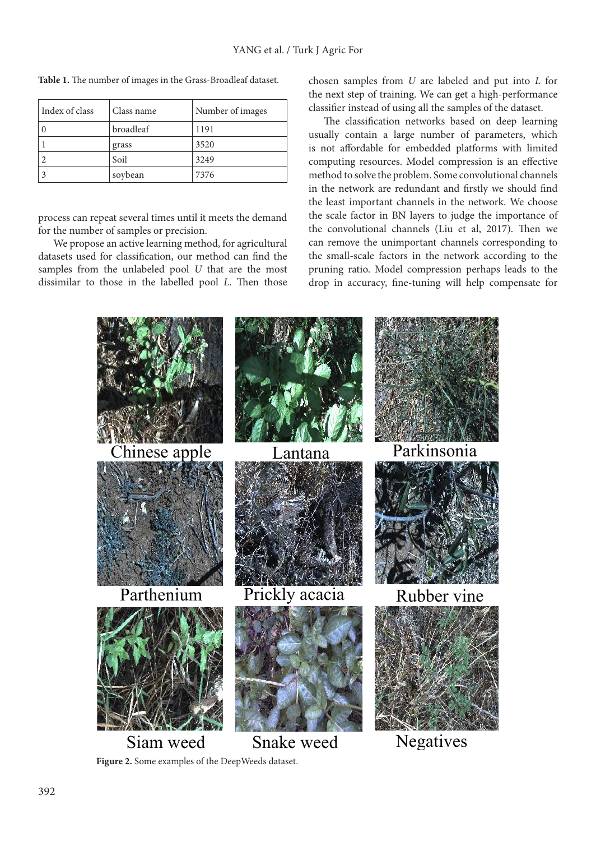| Index of class | Class name | Number of images |  |
|----------------|------------|------------------|--|
|                | broadleaf  | 1191             |  |
|                | grass      | 3520             |  |
|                | Soil       | 3249             |  |
|                | soybean    | 7376             |  |

**Table 1.** The number of images in the Grass-Broadleaf dataset.

process can repeat several times until it meets the demand for the number of samples or precision.

We propose an active learning method, for agricultural datasets used for classification, our method can find the samples from the unlabeled pool *U* that are the most dissimilar to those in the labelled pool *L*. Then those chosen samples from *U* are labeled and put into *L* for the next step of training. We can get a high-performance classifier instead of using all the samples of the dataset.

The classification networks based on deep learning usually contain a large number of parameters, which is not affordable for embedded platforms with limited computing resources. Model compression is an effective method to solve the problem. Some convolutional channels in the network are redundant and firstly we should find the least important channels in the network. We choose the scale factor in BN layers to judge the importance of the convolutional channels (Liu et al, 2017). Then we can remove the unimportant channels corresponding to the small-scale factors in the network according to the pruning ratio. Model compression perhaps leads to the drop in accuracy, fine-tuning will help compensate for



**Figure 2.** Some examples of the DeepWeeds dataset.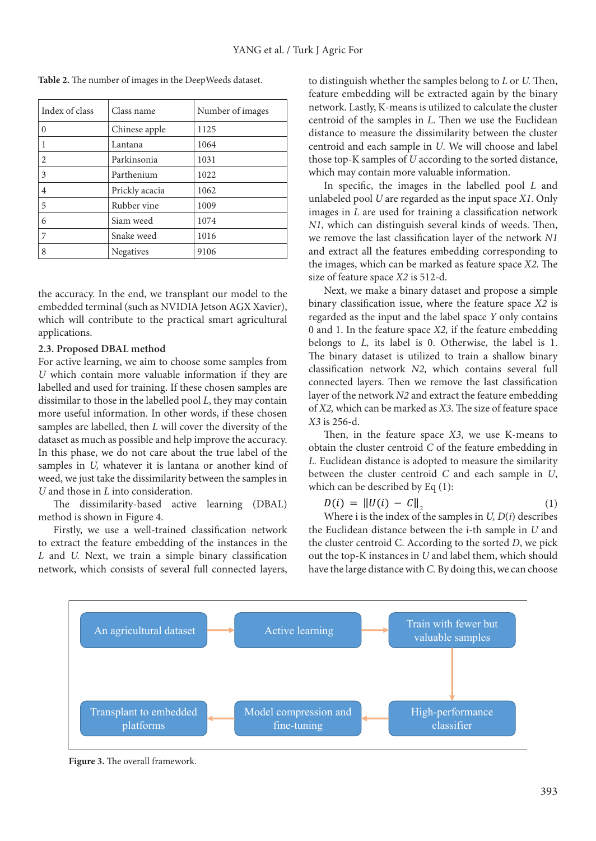| Index of class | Class name     | Number of images |  |
|----------------|----------------|------------------|--|
| $\Omega$       | Chinese apple  | 1125             |  |
|                | Lantana        | 1064             |  |
| $\overline{c}$ | Parkinsonia    | 1031             |  |
| 3              | Parthenium     | 1022             |  |
| $\overline{4}$ | Prickly acacia | 1062             |  |
| 5              | Rubber vine    | 1009             |  |
| 6              | Siam weed      | 1074             |  |
|                | Snake weed     | 1016             |  |
| 8              | Negatives      | 9106             |  |

**Table 2.** The number of images in the DeepWeeds dataset.

the accuracy. In the end, we transplant our model to the embedded terminal (such as NVIDIA Jetson AGX Xavier), which will contribute to the practical smart agricultural applications.

## **2.3. Proposed DBAL method**

For active learning, we aim to choose some samples from *U* which contain more valuable information if they are labelled and used for training. If these chosen samples are dissimilar to those in the labelled pool *L*, they may contain more useful information. In other words, if these chosen samples are labelled, then *L* will cover the diversity of the dataset as much as possible and help improve the accuracy. In this phase, we do not care about the true label of the samples in *U,* whatever it is lantana or another kind of weed, we just take the dissimilarity between the samples in *U* and those in *L* into consideration.

The dissimilarity-based active learning (DBAL) method is shown in Figure 4.

Firstly, we use a well-trained classification network to extract the feature embedding of the instances in the *L* and *U.* Next, we train a simple binary classification network, which consists of several full connected layers,

to distinguish whether the samples belong to *L* or *U.* Then, feature embedding will be extracted again by the binary network. Lastly, K-means is utilized to calculate the cluster centroid of the samples in *L*. Then we use the Euclidean distance to measure the dissimilarity between the cluster centroid and each sample in *U*. We will choose and label those top-K samples of *U* according to the sorted distance, which may contain more valuable information.

In specific, the images in the labelled pool *L* and unlabeled pool *U* are regarded as the input space *X1*. Only images in *L* are used for training a classification network *N1*, which can distinguish several kinds of weeds. Then, we remove the last classification layer of the network *N1* and extract all the features embedding corresponding to the images, which can be marked as feature space *X2*. The size of feature space *X2* is 512-d.

Next, we make a binary dataset and propose a simple binary classification issue, where the feature space *X2* is regarded as the input and the label space *Y* only contains 0 and 1. In the feature space *X2,* if the feature embedding belongs to *L,* its label is 0. Otherwise, the label is 1. The binary dataset is utilized to train a shallow binary classification network *N2*, which contains several full connected layers. Then we remove the last classification layer of the network *N2* and extract the feature embedding of *X2,* which can be marked as *X3.* The size of feature space *X3* is 256-d.

Then, in the feature space *X3*, we use K-means to obtain the cluster centroid *C* of the feature embedding in *L.* Euclidean distance is adopted to measure the similarity between the cluster centroid *C* and each sample in *U*, which can be described by Eq (1):

$$
D(i) = \|U(i) - C\|_2 \tag{1}
$$

 $\frac{1}{1}$ the Euclidean distance between the i-th sample in *U* and the cluster centroid C. According to the sorted *D*, we pick have the large distance with *C*. By doing this, we can choose Where i is the index of the samples in *U, D*(*i*) describes out the top-K instances in *U* and label them, which should



**Figure 3.** The overall framework.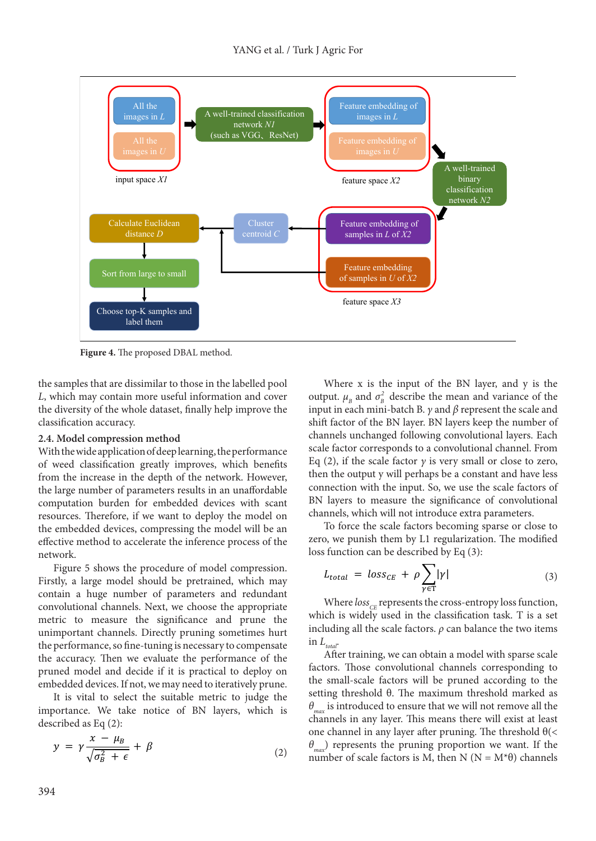

**Figure 4.** The proposed DBAL method.

the samples that are dissimilar to those in the labelled pool *L*, which may contain more useful information and cover the diversity of the whole dataset, finally help improve the classification accuracy.

## **2.4. Model compression method**

With the wide application of deep learning, the performance of weed classification greatly improves, which benefits from the increase in the depth of the network. However, the large number of parameters results in an unaffordable computation burden for embedded devices with scant resources. Therefore, if we want to deploy the model on the embedded devices, compressing the model will be an effective method to accelerate the inference process of the network.

Figure 5 shows the procedure of model compression. Firstly, a large model should be pretrained, which may contain a huge number of parameters and redundant convolutional channels. Next, we choose the appropriate metric to measure the significance and prune the unimportant channels. Directly pruning sometimes hurt the performance, so fine-tuning is necessary to compensate the accuracy. Then we evaluate the performance of the pruned model and decide if it is practical to deploy on embedded devices. If not, we may need to iteratively prune.

It is vital to select the suitable metric to judge the importance. We take notice of BN layers, which is described as Eq  $(2)$ :

$$
y = \gamma \frac{x - \mu_B}{\sqrt{\sigma_B^2 + \epsilon}} + \beta \tag{2}
$$

Where x is the input of the BN layer, and y is the output.  $\mu_B$  and  $\sigma_B^2$  describe the mean and variance of the input in each mini-batch B. *γ* and *β* represent the scale and shift factor of the BN layer. BN layers keep the number of channels unchanged following convolutional layers. Each scale factor corresponds to a convolutional channel. From Eq (2), if the scale factor  $\gamma$  is very small or close to zero, then the output y will perhaps be a constant and have less connection with the input. So, we use the scale factors of BN layers to measure the significance of convolutional  $\frac{1}{1}$ channels, which will not introduce extra parameters.

To force the scale factors becoming sparse or close to zero, we punish them by L1 regularization. The modified  $\log$  function can be described by Eq. (2). zero, we panton them by ET regularizations function can be described by Eq (3):

$$
L_{total} = loss_{CE} + \rho \sum_{\gamma \in T} |\gamma| \tag{3}
$$

Where *loss*<sub>CE</sub> represents the cross-entropy loss function, which is widely used in the classification task. T is a set including all the scale factors.  $\rho$  can balance the two items in  $L_{\rm total}$ 

After training, we can obtain a model with sparse scale factors. Those convolutional channels corresponding to the small-scale factors will be pruned according to the setting threshold θ. The maximum threshold marked as  $\theta_{\text{max}}$  is introduced to ensure that we will not remove all the channels in any layer. This means there will exist at least one channel in any layer after pruning. The threshold  $\theta(\leq)$ *θmax*) represents the pruning proportion we want. If the number of scale factors is M, then N ( $N = M^*\theta$ ) channels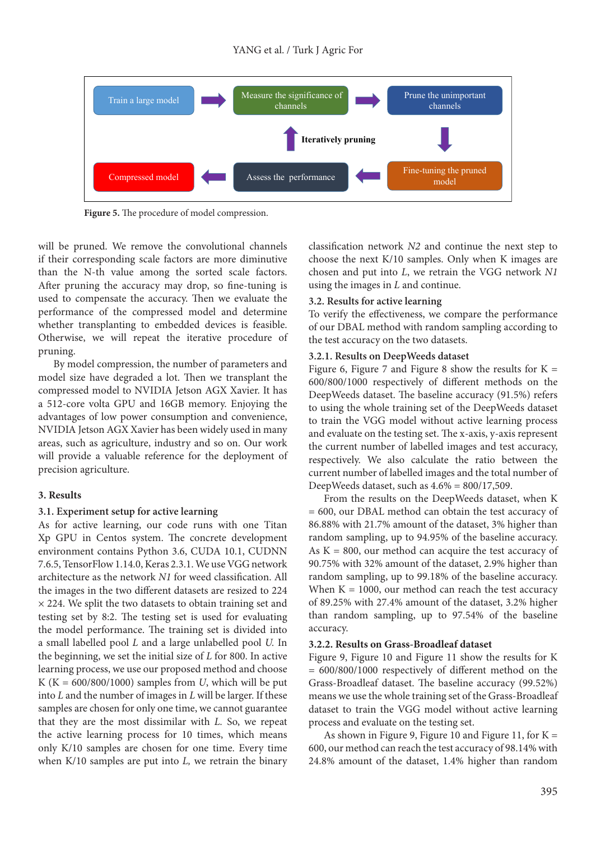

**Figure 5.** The procedure of model compression.

will be pruned. We remove the convolutional channels if their corresponding scale factors are more diminutive than the N-th value among the sorted scale factors. After pruning the accuracy may drop, so fine-tuning is used to compensate the accuracy. Then we evaluate the performance of the compressed model and determine whether transplanting to embedded devices is feasible. Otherwise, we will repeat the iterative procedure of pruning.

By model compression, the number of parameters and model size have degraded a lot. Then we transplant the compressed model to NVIDIA Jetson AGX Xavier. It has a 512-core volta GPU and 16GB memory. Enjoying the advantages of low power consumption and convenience, NVIDIA Jetson AGX Xavier has been widely used in many areas, such as agriculture, industry and so on. Our work will provide a valuable reference for the deployment of precision agriculture.

#### **3. Results**

#### **3.1. Experiment setup for active learning**

As for active learning, our code runs with one Titan Xp GPU in Centos system. The concrete development environment contains Python 3.6, CUDA 10.1, CUDNN 7.6.5, TensorFlow 1.14.0, Keras 2.3.1. We use VGG network architecture as the network *N1* for weed classification. All the images in the two different datasets are resized to 224  $\times$  224. We split the two datasets to obtain training set and testing set by 8:2. The testing set is used for evaluating the model performance. The training set is divided into a small labelled pool *L* and a large unlabelled pool *U.* In the beginning, we set the initial size of *L* for 800. In active learning process, we use our proposed method and choose K ( $K = 600/800/1000$ ) samples from *U*, which will be put into *L* and the number of images in *L* will be larger. If these samples are chosen for only one time, we cannot guarantee that they are the most dissimilar with *L.* So, we repeat the active learning process for 10 times, which means only K/10 samples are chosen for one time. Every time when K/10 samples are put into *L,* we retrain the binary classification network *N2* and continue the next step to choose the next K/10 samples. Only when K images are chosen and put into *L*, we retrain the VGG network *N1*  using the images in *L* and continue.

#### **3.2. Results for active learning**

To verify the effectiveness, we compare the performance of our DBAL method with random sampling according to the test accuracy on the two datasets.

## **3.2.1. Results on DeepWeeds dataset**

Figure 6, Figure 7 and Figure 8 show the results for  $K =$ 600/800/1000 respectively of different methods on the DeepWeeds dataset. The baseline accuracy (91.5%) refers to using the whole training set of the DeepWeeds dataset to train the VGG model without active learning process and evaluate on the testing set. The x-axis, y-axis represent the current number of labelled images and test accuracy, respectively. We also calculate the ratio between the current number of labelled images and the total number of DeepWeeds dataset, such as  $4.6\% = 800/17,509$ .

From the results on the DeepWeeds dataset, when K = 600, our DBAL method can obtain the test accuracy of 86.88% with 21.7% amount of the dataset, 3% higher than random sampling, up to 94.95% of the baseline accuracy. As  $K = 800$ , our method can acquire the test accuracy of 90.75% with 32% amount of the dataset, 2.9% higher than random sampling, up to 99.18% of the baseline accuracy. When  $K = 1000$ , our method can reach the test accuracy of 89.25% with 27.4% amount of the dataset, 3.2% higher than random sampling, up to 97.54% of the baseline accuracy.

#### **3.2.2. Results on Grass-Broadleaf dataset**

Figure 9, Figure 10 and Figure 11 show the results for K = 600/800/1000 respectively of different method on the Grass-Broadleaf dataset. The baseline accuracy (99.52%) means we use the whole training set of the Grass-Broadleaf dataset to train the VGG model without active learning process and evaluate on the testing set.

As shown in Figure 9, Figure 10 and Figure 11, for  $K =$ 600, our method can reach the test accuracy of 98.14% with 24.8% amount of the dataset, 1.4% higher than random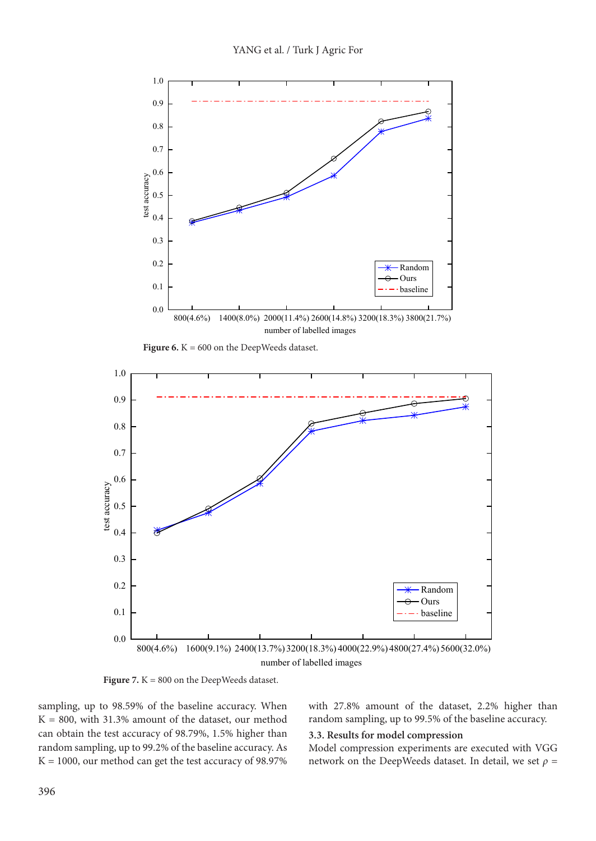

**Figure 6.**  $K = 600$  on the DeepWeeds dataset.



**Figure 7.** K = 800 on the DeepWeeds dataset.

sampling, up to 98.59% of the baseline accuracy. When  $K = 800$ , with 31.3% amount of the dataset, our method can obtain the test accuracy of 98.79%, 1.5% higher than random sampling, up to 99.2% of the baseline accuracy. As  $K = 1000$ , our method can get the test accuracy of 98.97% with 27.8% amount of the dataset, 2.2% higher than random sampling, up to 99.5% of the baseline accuracy.

#### **3.3. Results for model compression**

Model compression experiments are executed with VGG network on the DeepWeeds dataset. In detail, we set  $\rho$  =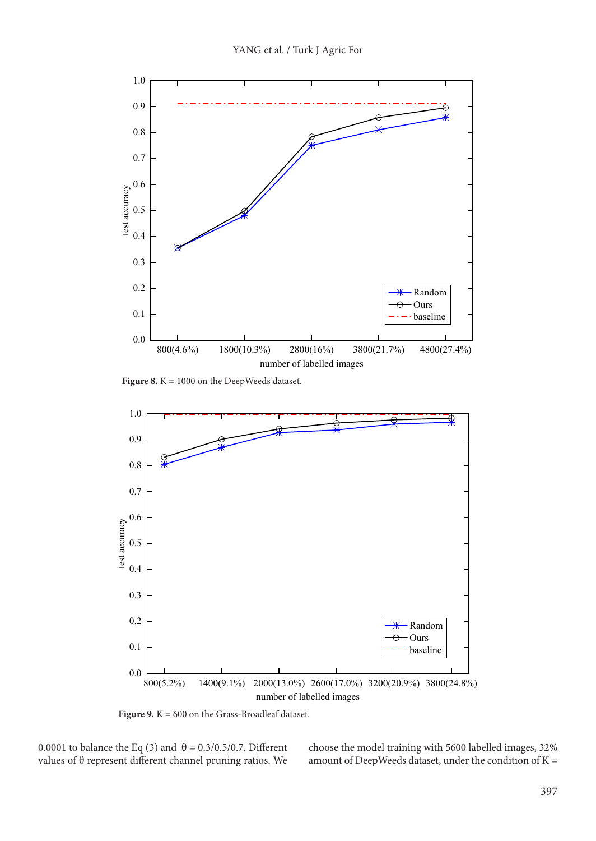

Figure 8. K = 1000 on the DeepWeeds dataset.



Figure 9. K = 600 on the Grass-Broadleaf dataset.

0.0001 to balance the Eq (3) and  $\theta = 0.3/0.5/0.7$ . Different values of θ represent different channel pruning ratios. We choose the model training with 5600 labelled images, 32% amount of DeepWeeds dataset, under the condition of  $K =$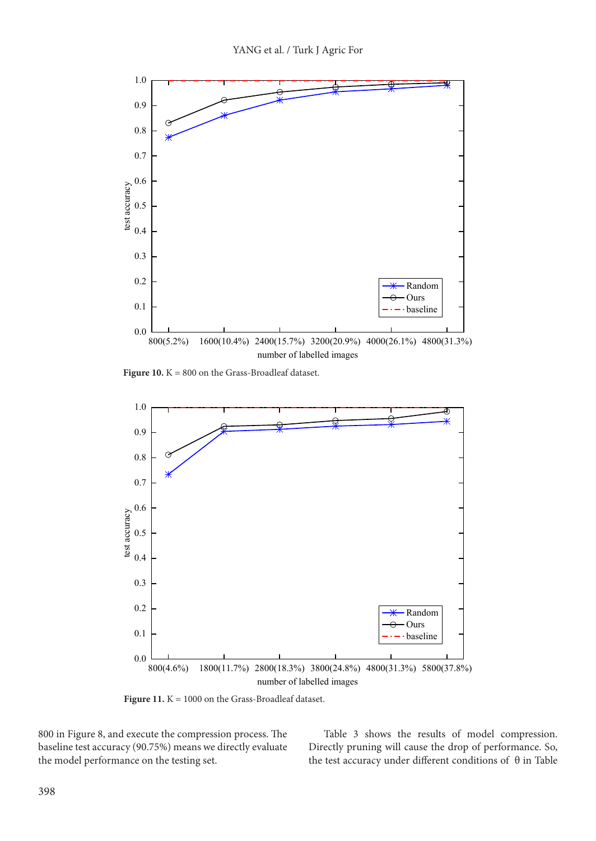

Figure 10. K = 800 on the Grass-Broadleaf dataset.



Figure 11. K = 1000 on the Grass-Broadleaf dataset.

800 in Figure 8, and execute the compression process. The baseline test accuracy (90.75%) means we directly evaluate the model performance on the testing set.

Table 3 shows the results of model compression. Directly pruning will cause the drop of performance. So, the test accuracy under different conditions of θ in Table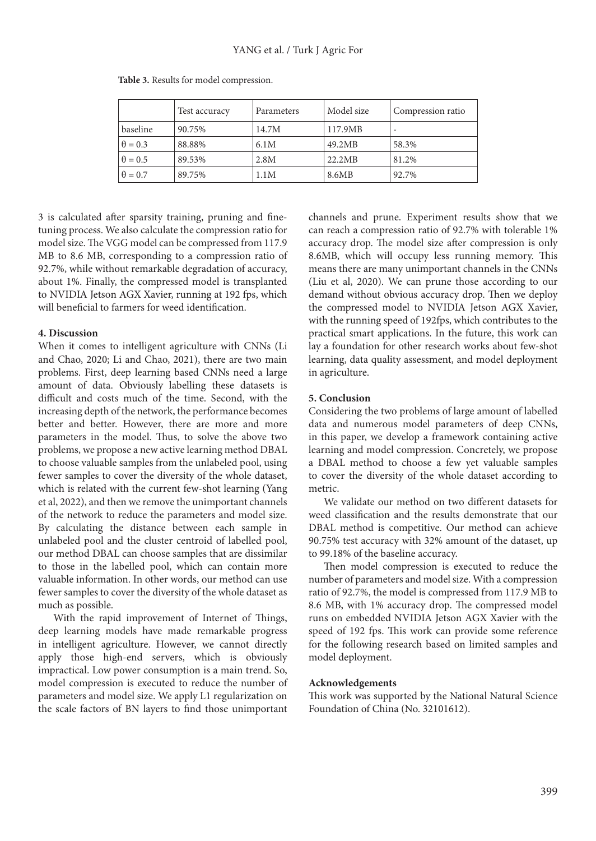|                | Test accuracy | Parameters | Model size | Compression ratio |
|----------------|---------------|------------|------------|-------------------|
| baseline       | 90.75%        | 14.7M      | 117.9MB    |                   |
| $\theta = 0.3$ | 88.88%        | 6.1M       | 49.2MB     | 58.3%             |
| $\theta = 0.5$ | 89.53%        | 2.8M       | 22.2MB     | 81.2%             |
| $\theta = 0.7$ | 89.75%        | 1.1M       | 8.6MB      | 92.7%             |

**Table 3.** Results for model compression.

3 is calculated after sparsity training, pruning and finetuning process. We also calculate the compression ratio for model size. The VGG model can be compressed from 117.9 MB to 8.6 MB, corresponding to a compression ratio of 92.7%, while without remarkable degradation of accuracy, about 1%. Finally, the compressed model is transplanted to NVIDIA Jetson AGX Xavier, running at 192 fps, which will beneficial to farmers for weed identification.

## **4. Discussion**

When it comes to intelligent agriculture with CNNs (Li and Chao, 2020; Li and Chao, 2021), there are two main problems. First, deep learning based CNNs need a large amount of data. Obviously labelling these datasets is difficult and costs much of the time. Second, with the increasing depth of the network, the performance becomes better and better. However, there are more and more parameters in the model. Thus, to solve the above two problems, we propose a new active learning method DBAL to choose valuable samples from the unlabeled pool, using fewer samples to cover the diversity of the whole dataset, which is related with the current few-shot learning (Yang et al, 2022), and then we remove the unimportant channels of the network to reduce the parameters and model size. By calculating the distance between each sample in unlabeled pool and the cluster centroid of labelled pool, our method DBAL can choose samples that are dissimilar to those in the labelled pool, which can contain more valuable information. In other words, our method can use fewer samples to cover the diversity of the whole dataset as much as possible.

With the rapid improvement of Internet of Things, deep learning models have made remarkable progress in intelligent agriculture. However, we cannot directly apply those high-end servers, which is obviously impractical. Low power consumption is a main trend. So, model compression is executed to reduce the number of parameters and model size. We apply L1 regularization on the scale factors of BN layers to find those unimportant channels and prune. Experiment results show that we can reach a compression ratio of 92.7% with tolerable 1% accuracy drop. The model size after compression is only 8.6MB, which will occupy less running memory. This means there are many unimportant channels in the CNNs (Liu et al, 2020). We can prune those according to our demand without obvious accuracy drop. Then we deploy the compressed model to NVIDIA Jetson AGX Xavier, with the running speed of 192fps, which contributes to the practical smart applications. In the future, this work can lay a foundation for other research works about few-shot learning, data quality assessment, and model deployment in agriculture.

## **5. Conclusion**

Considering the two problems of large amount of labelled data and numerous model parameters of deep CNNs, in this paper, we develop a framework containing active learning and model compression. Concretely, we propose a DBAL method to choose a few yet valuable samples to cover the diversity of the whole dataset according to metric.

We validate our method on two different datasets for weed classification and the results demonstrate that our DBAL method is competitive. Our method can achieve 90.75% test accuracy with 32% amount of the dataset, up to 99.18% of the baseline accuracy.

Then model compression is executed to reduce the number of parameters and model size. With a compression ratio of 92.7%, the model is compressed from 117.9 MB to 8.6 MB, with 1% accuracy drop. The compressed model runs on embedded NVIDIA Jetson AGX Xavier with the speed of 192 fps. This work can provide some reference for the following research based on limited samples and model deployment.

## **Acknowledgements**

This work was supported by the National Natural Science Foundation of China (No. 32101612).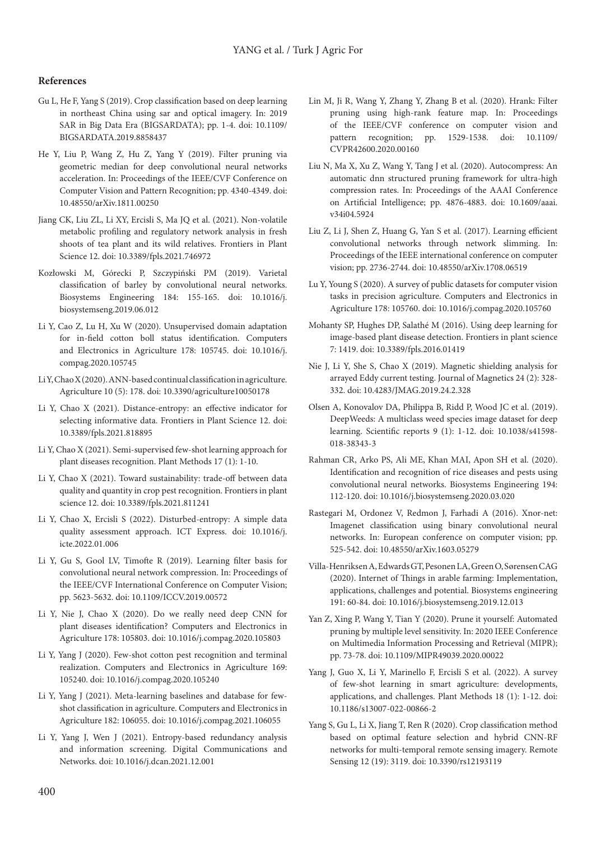## **References**

- Gu L, He F, Yang S (2019). Crop classification based on deep learning in northeast China using sar and optical imagery. In: 2019 SAR in Big Data Era (BIGSARDATA); pp. 1-4. doi: 10.1109/ BIGSARDATA.2019.8858437
- He Y, Liu P, Wang Z, Hu Z, Yang Y (2019). Filter pruning via geometric median for deep convolutional neural networks acceleration. In: Proceedings of the IEEE/CVF Conference on Computer Vision and Pattern Recognition; pp. 4340-4349. doi: 10.48550/arXiv.1811.00250
- Jiang CK, Liu ZL, Li XY, Ercisli S, Ma JQ et al. (2021). Non-volatile metabolic profiling and regulatory network analysis in fresh shoots of tea plant and its wild relatives. Frontiers in Plant Science 12. doi: 10.3389/fpls.2021.746972
- Kozłowski M, Górecki P, Szczypiński PM (2019). Varietal classification of barley by convolutional neural networks. Biosystems Engineering 184: 155-165. doi: 10.1016/j. biosystemseng.2019.06.012
- Li Y, Cao Z, Lu H, Xu W (2020). Unsupervised domain adaptation for in-field cotton boll status identification. Computers and Electronics in Agriculture 178: 105745. doi: 10.1016/j. compag.2020.105745
- Li Y, Chao X (2020). ANN-based continual classification in agriculture. Agriculture 10 (5): 178. doi: 10.3390/agriculture10050178
- Li Y, Chao X (2021). Distance-entropy: an effective indicator for selecting informative data. Frontiers in Plant Science 12. doi: 10.3389/fpls.2021.818895
- Li Y, Chao X (2021). Semi-supervised few-shot learning approach for plant diseases recognition. Plant Methods 17 (1): 1-10.
- Li Y, Chao X (2021). Toward sustainability: trade-off between data quality and quantity in crop pest recognition. Frontiers in plant science 12. doi: 10.3389/fpls.2021.811241
- Li Y, Chao X, Ercisli S (2022). Disturbed-entropy: A simple data quality assessment approach. ICT Express. doi: 10.1016/j. icte.2022.01.006
- Li Y, Gu S, Gool LV, Timofte R (2019). Learning filter basis for convolutional neural network compression. In: Proceedings of the IEEE/CVF International Conference on Computer Vision; pp. 5623-5632. doi: 10.1109/ICCV.2019.00572
- Li Y, Nie J, Chao X (2020). Do we really need deep CNN for plant diseases identification? Computers and Electronics in Agriculture 178: 105803. doi: 10.1016/j.compag.2020.105803
- Li Y, Yang J (2020). Few-shot cotton pest recognition and terminal realization. Computers and Electronics in Agriculture 169: 105240. doi: 10.1016/j.compag.2020.105240
- Li Y, Yang J (2021). Meta-learning baselines and database for fewshot classification in agriculture. Computers and Electronics in Agriculture 182: 106055. doi: 10.1016/j.compag.2021.106055
- Li Y, Yang J, Wen J (2021). Entropy-based redundancy analysis and information screening. Digital Communications and Networks. doi: 10.1016/j.dcan.2021.12.001
- Lin M, Ji R, Wang Y, Zhang Y, Zhang B et al. (2020). Hrank: Filter pruning using high-rank feature map. In: Proceedings of the IEEE/CVF conference on computer vision and pattern recognition; pp. 1529-1538. doi: 10.1109/ CVPR42600.2020.00160
- Liu N, Ma X, Xu Z, Wang Y, Tang J et al. (2020). Autocompress: An automatic dnn structured pruning framework for ultra-high compression rates. In: Proceedings of the AAAI Conference on Artificial Intelligence; pp. 4876-4883. doi: 10.1609/aaai. v34i04.5924
- Liu Z, Li J, Shen Z, Huang G, Yan S et al. (2017). Learning efficient convolutional networks through network slimming. In: Proceedings of the IEEE international conference on computer vision; pp. 2736-2744. doi: 10.48550/arXiv.1708.06519
- Lu Y, Young S (2020). A survey of public datasets for computer vision tasks in precision agriculture. Computers and Electronics in Agriculture 178: 105760. doi: 10.1016/j.compag.2020.105760
- Mohanty SP, Hughes DP, Salathé M (2016). Using deep learning for image-based plant disease detection. Frontiers in plant science 7: 1419. doi: 10.3389/fpls.2016.01419
- Nie J, Li Y, She S, Chao X (2019). Magnetic shielding analysis for arrayed Eddy current testing. Journal of Magnetics 24 (2): 328- 332. doi: 10.4283/JMAG.2019.24.2.328
- Olsen A, Konovalov DA, Philippa B, Ridd P, Wood JC et al. (2019). DeepWeeds: A multiclass weed species image dataset for deep learning. Scientific reports 9 (1): 1-12. doi: 10.1038/s41598- 018-38343-3
- Rahman CR, Arko PS, Ali ME, Khan MAI, Apon SH et al. (2020). Identification and recognition of rice diseases and pests using convolutional neural networks. Biosystems Engineering 194: 112-120. doi: 10.1016/j.biosystemseng.2020.03.020
- Rastegari M, Ordonez V, Redmon J, Farhadi A (2016). Xnor-net: Imagenet classification using binary convolutional neural networks. In: European conference on computer vision; pp. 525-542. doi: 10.48550/arXiv.1603.05279
- Villa-Henriksen A, Edwards GT, Pesonen LA, Green O, Sørensen CAG (2020). Internet of Things in arable farming: Implementation, applications, challenges and potential. Biosystems engineering 191: 60-84. doi: 10.1016/j.biosystemseng.2019.12.013
- Yan Z, Xing P, Wang Y, Tian Y (2020). Prune it yourself: Automated pruning by multiple level sensitivity. In: 2020 IEEE Conference on Multimedia Information Processing and Retrieval (MIPR); pp. 73-78. doi: 10.1109/MIPR49039.2020.00022
- Yang J, Guo X, Li Y, Marinello F, Ercisli S et al. (2022). A survey of few-shot learning in smart agriculture: developments, applications, and challenges. Plant Methods 18 (1): 1-12. doi: 10.1186/s13007-022-00866-2
- Yang S, Gu L, Li X, Jiang T, Ren R (2020). Crop classification method based on optimal feature selection and hybrid CNN-RF networks for multi-temporal remote sensing imagery. Remote Sensing 12 (19): 3119. doi: 10.3390/rs12193119